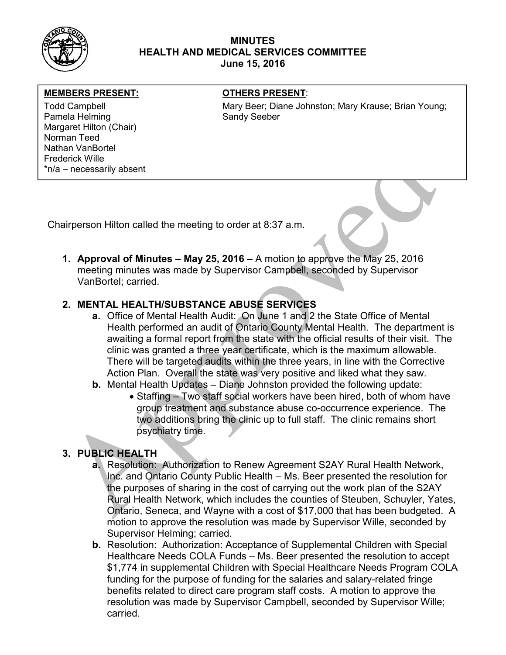

## MINUTES HEALTH AND MEDICAL SERVICES COMMITTEE June 15, 2016

### MEMBERS PRESENT: **The OTHERS PRESENT:**

Pamela Helming Sandy Seeber Margaret Hilton (Chair) Norman Teed Nathan VanBortel Frederick Wille \*n/a – necessarily absent

Todd Campbell **Mary Beer; Diane Johnston; Mary Krause**; Brian Young; Mary Krause; Brian Young;

Chairperson Hilton called the meeting to order at 8:37 a.m.

1. Approval of Minutes – May 25, 2016 – A motion to approve the May 25, 2016 meeting minutes was made by Supervisor Campbell, seconded by Supervisor VanBortel; carried.

# 2. MENTAL HEALTH/SUBSTANCE ABUSE SERVICES

- a. Office of Mental Health Audit: On June 1 and 2 the State Office of Mental Health performed an audit of Ontario County Mental Health. The department is awaiting a formal report from the state with the official results of their visit. The clinic was granted a three year certificate, which is the maximum allowable. There will be targeted audits within the three years, in line with the Corrective Action Plan. Overall the state was very positive and liked what they saw.
- b. Mental Health Updates Diane Johnston provided the following update:
	- Staffing Two staff social workers have been hired, both of whom have group treatment and substance abuse co-occurrence experience. The two additions bring the clinic up to full staff. The clinic remains short psychiatry time.

## 3. PUBLIC HEALTH

- a. Resolution: Authorization to Renew Agreement S2AY Rural Health Network, Inc. and Ontario County Public Health – Ms. Beer presented the resolution for the purposes of sharing in the cost of carrying out the work plan of the S2AY Rural Health Network, which includes the counties of Steuben, Schuyler, Yates, Ontario, Seneca, and Wayne with a cost of \$17,000 that has been budgeted. A motion to approve the resolution was made by Supervisor Wille, seconded by Supervisor Helming; carried.
- b. Resolution: Authorization: Acceptance of Supplemental Children with Special Healthcare Needs COLA Funds – Ms. Beer presented the resolution to accept \$1,774 in supplemental Children with Special Healthcare Needs Program COLA funding for the purpose of funding for the salaries and salary-related fringe benefits related to direct care program staff costs. A motion to approve the resolution was made by Supervisor Campbell, seconded by Supervisor Wille; carried.